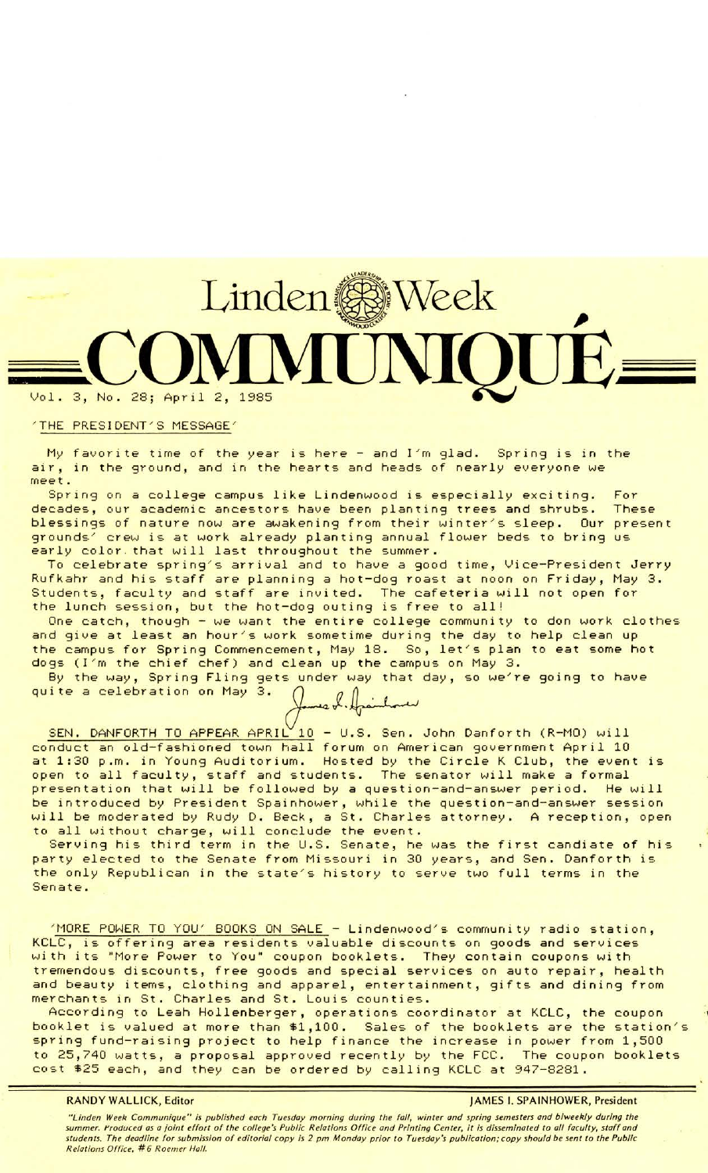# **co 1.** 3, No. 28; April 2, 1985

### 'THE PRESIDENT'S MESSAGE'

My favorite time of the year is here - and I'm glad. Spring is in the air, in the ground, and in the hearts and heads of nearly everyone we meet.

Spring on a college campus like Lindenwood is especially exciting. For decades, our academic ancestors have been planting trees and shrubs. These blessings of nature now are awakening from their winter/s sleep. Our present grounds' crew is at work already planting annual flower beds to bring us early color that will last throughout the summer.

To celebrate spring's arrival and to have a good time, Vice-President Jerry Rufkahr and his staff are planning a hot-dog roast at noon on Friday, May 3. Students, faculty and staff are invited. The cafeteria will not open for the lunch session, but the hot-dog outing is free to all!

One catch, though - we want the entire college community to don work clothes and give at least an hour's work sometime during the day to help clean up and give at feast an noon is work sometime during the day to help clean up

dogs (I/m the chief chef) and clean up the campus on May 3. quite a celebration on May 3. ~J-~ By the way, Spring Fling gets under way that day, so we're going to have

|  | James L. Hjainhoure<br>L 10 = U.S. SED. Ja |  |
|--|--------------------------------------------|--|
|  |                                            |  |
|  |                                            |  |

SEN. DANFORTH TO APPEAR APRIL 10 - U.S. Sen. John Danforth (R-MO) will conduct an old-fashioned town hall forum on American government April 10 at 1:30 p.m. in Young Auditorium. Hosted by the Circle K Club, the event is open to all faculty, staff and students. The senator will make a formal presentation that will be followed by a question-and-answer period. He will be introduced by President Spainhower, while the question-and-answer session will be moderated by Rudy D. Beck, a St. Charles attorney. A reception, open to all without charge, will conclude the event.

Serving his third term in the U.S. Senate, he was the first candiate of his party elected to the Senate from Missouri in 30 years, and Sen. Danforth is the only Republican in the state's history to serve two full terms in the Senate.

'MORE POWER TO YOU' BOOKS ON SALE - Lindenwood's community radio station, KCLC, is offering area residents valuable discounts on goods and services with its "More Power to You" coupon booklets. They contain coupons with tremendous discounts, free goods and special services on auto repair, health and beauty items, clothing and apparel, entertainment, gifts and dining from merchants in St. Charles and St. Louis counties.

According to Leah Hollenberger, operations coordinator at KCLC, the coupon booklet is valued at more than \$1,100. Sales of the booklets are the station/s spring fund-raising project to help finance the increase in power from 1,500 to 25,740 watts, a proposal approved recently by the FCC. The coupon booklets cost \$25 each, and they can be ordered by calling KCLC at 947-8281.

## **RANDY WALLICK, Editor** JAMES I. SPAINHOWER, President

"Linden Week Communique" is published each Tuesday morning during the fall, winter and spring semesters and biweekly during the summer. t'roduced as a joint effort of the college's Public Relations Office and Printing Center, it is disseminated to all faculty, staff and students. The deadline for submission of editorial copy is 2 pm Monday prior to Tuesday's publication;copy should be sent to the Public Relations Office, #6 Roemer Hall.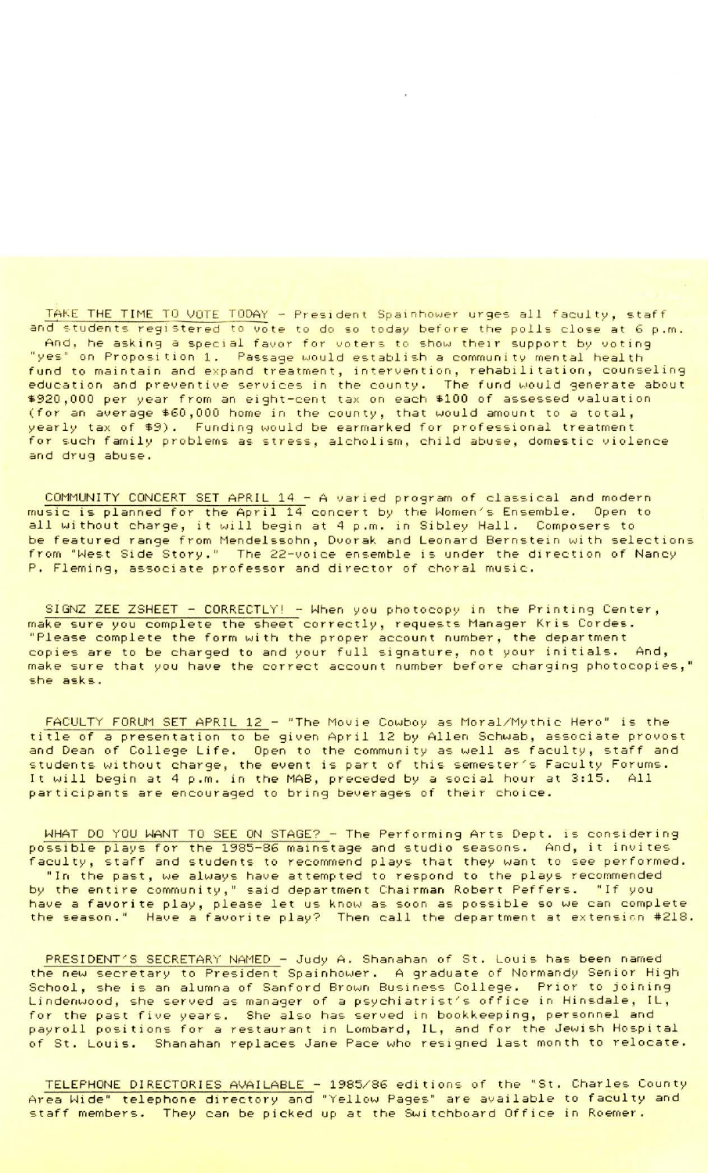TAKE THE TIME TO VOTE TODAY - President Spainhower urges all faculty, staff and students registered to vote to do so today before the polls close at 6 p.m. And, he asking a special favor for voters to show their support by voting yes" on Proposition 1. Passage would establish a community mental health fund to maintain and expand treatment, intervention, rehabilitation, counseling education and preventive services in the county. The fund would generate about \$920,000 per year from an eight-cent tax on each \$100 of assessed valuation (for an average \$60,000 home in the county, that would amount to a total, yearly tax of \$9). Funding would be earmarked for professional treatment for such family problems as stress, alcholism, child abuse, domestic violence and drug abuse.

COMMUNITY CONCERT SET APRIL 14 - A varied program of classical and modern music is planned for the April 14 concert by the Women's Ensemble. Open to all without charge, it will begin at 4 p.m. in Sibley Hall. Composers to be featured range from Mendelssohn, Dvorak and Leonard Bernstein with selections from "West Side Story." .The 22-voice ensemble is under the direction of Nancy P. Fleming, associate professor and director of choral music.

SIGNZ ZEE ZSHEET - CORRECTLY! - When you photocopy in the Printing Center, make sure you complete the sheet correctly, requests Manager Kris Cordes.<br>"Please complete the form with the proper account number, the department copies are to be charged to and your full signature, not your initials. And, make sure that you have the correct account number before charging photocopies," she asks.

FACULTY FORUM SET APRIL 12 - "The Movie Cowboy as Moral/Mythic Hero" is the title of a presentation to be given April 12 by Allen Schwab, associate provost and Dean of College Life. Open to the community as well as faculty, staff and students without charge, the event is part of this semester/s Faculty Forums. It will begin at 4 p.m. in the MAB, preceded by a social hour at 3:15. All participants are encouraged to bring beverages of their choice.

WHAT DO YOU WANT TO SEE ON STAGE? - The Performing Arts Dept. is considering possible plays for the 1985-86 mainstage and studio seasons. And, it invites faculty, staff and students to recommend plays that they want to see performed.<br>"In the past, we always have attempted to respond to the plays recommended by the entire community," said department Chairman Robert Peffers. "If you have a favorite play, please let us know as soon as possible so we can complete the season." Have a favorite play? Then call the department at extension #218.

PRESIDENT'S SECRETARY NAMED - Judy A. Shanahan of St. Louis has been named the new secretary to President Spainhower. A graduate of Normandy Senior High School, she is an alumna of Sanford Brown Business College. Prior to joining Lindenwood, she served as manager of a psychiatrist's office in Hinsdale, IL, for the past five years. She also has served in bookkeeping, personnel and payroll positions for a restaurant in Lombard, IL, and for the Jewish Hospital of St. Louis. Shanahan replaces Jane Pace who resigned last month to relocate.

TELEPHONE DIRECTORIES AVAILABLE - 1985/86 editions of the "St. Charles County Area Wide" telephone directory and "Yellow Pages" are available to faculty and staff members. They can be picked up at the Switchboard Office in Roemer.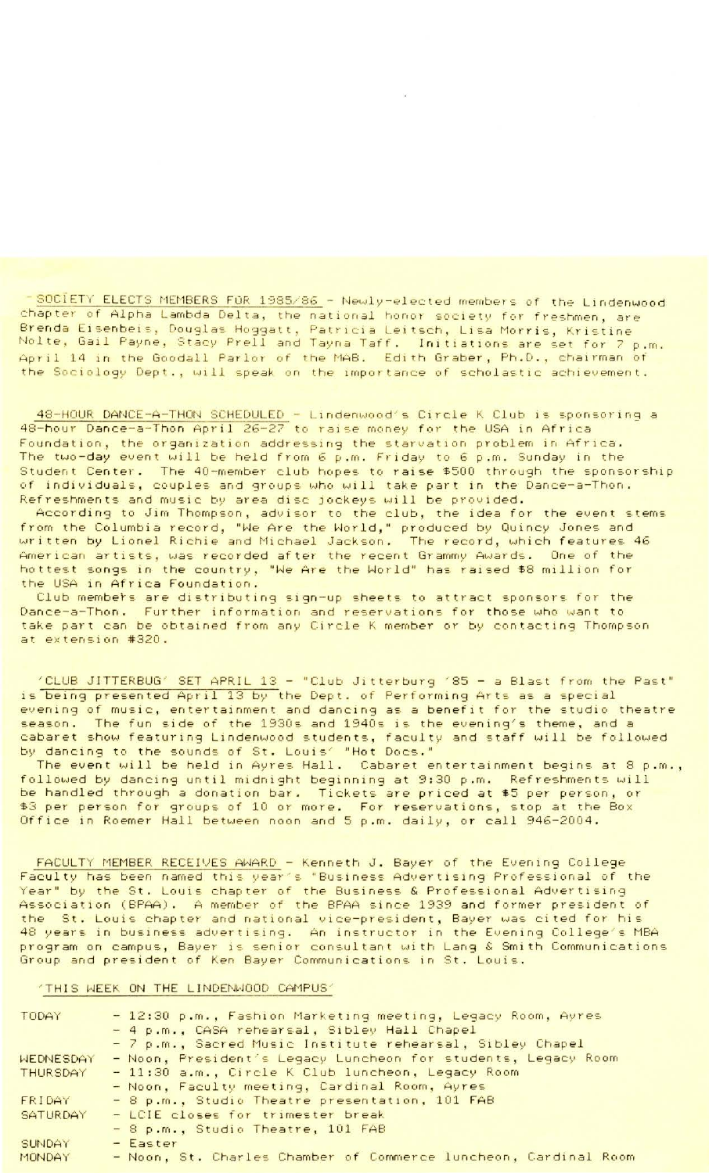- SOCIETY ELECTS MEMBERS FOR 1985/86 - Newly-elected members of the Lindenwood chapter of Alpha Lambda Delta, the national honor society for freshmen, are Brenda Eisenbeis, Douglas Hoggatt, Patricia Leitsch, Lisa Morris, Kristine<br>Nolte, Gail Payne, Stacy Prell and Tayna Taff. Initiations are set for 7 p.m. April 14 in the Goodall Parlor of the MAB. Edith Graber, Ph.D., chairman of the Sociology Dept., will speak on the importance of scholastic achievement.

48-HOUR DANCE-A-THON SCHEDULED - Lindenwood's Circle K Club is sponsoring a 48-hour Dance-a-Thon April 26-27 to raise money for the USA in Africa Foundation, the organization addressing the starvation problem in Africa. The two-day event will be held from 6 p.m. Friday to 6 p.m. Sunday in the Student Center. The 40-member club hopes to raise \$500 through the sponsorship individuals, couples and groups who will take part in the Dance-a-Thon. of Refreshments and music by area disc jockeys will be provided.

According to Jim Thompson, advisor to the club, the idea for the event stems from the Columbia record, "We Are the World," produced by Quincy Jones and<br>written by Lionel Richie and Michael Jackson. The record, which features 46 American artists, was recorded after the recent Grammy Awards. One of the<br>hottest songs in the country, "We Are the World" has raised \$8 million for the USA in Africa Foundation.

Club members are distributing sign-up sheets to attract sponsors for the Dance-a-Thon. Further information and reservations for those who want to take part can be obtained from any Circle K member or by contacting Thompson at extension #320.

"CLUB JITTERBUG" SET APRIL 13 - "Club Jitterburg '85 - a Blast from the Past"<br>is being presented April 13 by the Dept. of Performing Arts as a special evening of music, entertainment and dancing as a benefit for the studio theatre season. The fun side of the 1930s and 1940s is the evening's theme, and a cabaret show featuring Lindenwood students, faculty and staff will be followed by dancing to the sounds of St. Louis' "Hot Docs."<br>The event will be held in Ayres Hall. Cabaret entertainment begins at 8 p.m.,

followed by dancing until midnight beginning at 9:30 p.m. Refreshments will be handled through a donation bar. Tickets are priced at \$5 per person, or \$3 per person for groups of 10 or more. For reservations, stop at the Box<br>Office in Roemer Hall between noon and 5 p.m. daily, or call 946-2004.

FACULTY MEMBER RECEIVES AWARD - Kenneth J. Bayer of the Evening College<br>Faculty has been named this year's "Business Advertising Professional of the Year" by the St. Louis chapter of the Business & Professional Advertising Association (BPAA). A member of the BPAA since 1939 and former president of the St. Louis chapter and national vice-president, Bayer was cited for his 48 years in business advertising. An instructor in the Evening College's MBA<br>program on campus, Bayer is senior consultant with Lang & Smith Communications Group and president of Ken Bayer Communications in St. Louis.

### "THIS WEEK ON THE LINDENWOOD CAMPUS"

| TODAY           | - 12:30 p.m., Fashion Marketing meeting, Legacy Room, Ayres     |
|-----------------|-----------------------------------------------------------------|
|                 | - 4 p.m., CASA rehearsal, Sibley Hall Chapel                    |
|                 | - 7 p.m., Sacred Music Institute rehearsal, Sibley Chapel       |
| WEDNESDAY       | - Noon, President's Legacy Luncheon for students, Legacy Room   |
| <b>THURSDAY</b> | - 11:30 a.m., Circle K Club luncheon, Legacy Room               |
|                 | - Noon, Faculty meeting, Cardinal Room, Ayres                   |
| FRIDAY          | - 8 p.m., Studio Theatre presentation, 101 FAB                  |
| SATURDAY        | - LCIE closes for trimester break                               |
|                 | - 8 p.m., Studio Theatre, 101 FAB                               |
| SUNDAY          | - Easter                                                        |
| <b>MONDAY</b>   | - Noon, St. Charles Chamber of Commerce luncheon, Cardinal Room |
|                 |                                                                 |